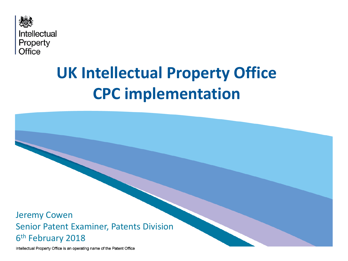

# **UK Intellectual Property Office CPC implementation**

Jeremy Cowen Senior Patent Examiner, Patents Division 6th February 2018

Intellectual Property Office is an operating name of the Patent Office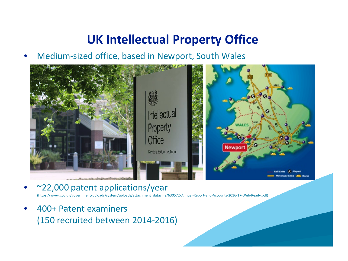### **UK Intellectual Property Office**

• Medium-sized office, based in Newport, South Wales



• ~22,000 patent applications/year

(https://www.gov.uk/government/uploads/system/uploads/attachment\_data/file/630572/Annual-Report-and-Accounts-2016-17-Web-Ready.pdf)

• 400+ Patent examiners (150 recruited between 2014-2016)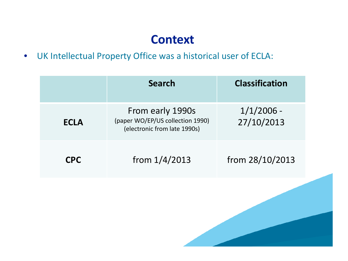## **Context**

• UK Intellectual Property Office was a historical user of ECLA:

|             | <b>Search</b>                                                                        | <b>Classification</b>      |  |
|-------------|--------------------------------------------------------------------------------------|----------------------------|--|
| <b>ECLA</b> | From early 1990s<br>(paper WO/EP/US collection 1990)<br>(electronic from late 1990s) | $1/1/2006$ -<br>27/10/2013 |  |
| <b>CPC</b>  | from $1/4/2013$                                                                      | from 28/10/2013            |  |
|             |                                                                                      |                            |  |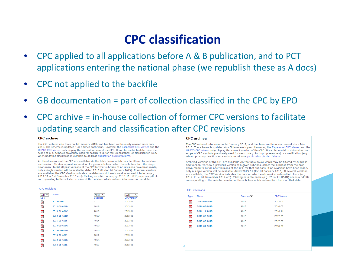### **CPC classification**

- CPC applied to all applications before A & B publication, and to PCT applications entering the national phase (we republish these as A docs)
- CPC not applied to the backfile
- GB documentation = part of collection classified in the CPC by EPO
- CPC archive = in-house collection of former CPC versions to facilitate updating search and classification after CPC revisions

#### **CPC** archive

The CPC entered into force on 1st January 2013, and has been continuously revised since July 2013. The scheme is updated 4 or 5 times each year. However, the Espacenet CPC viewer and the USPTO CPC viewer only display the current version of the CPC. It can be useful to determine the scope of CPC symbols previously used for search (e.g. for top-up searches) or classification (e.g. when updating classification symbols to address publication picklist failures.

Archived versions of the CPC are available via the table below which may be filtered by subclass and version. To view a previous version of a given subclass, select the subclass from the dropdown menu to list all past versions of the CPC for that subclass. If no revisions have been made, only a single version will be available, dated 2013-01 (for 1st January 2013). If several versions are available, the CPC Version indicates the date on which each version entered into force (e.g. 2014-11 = 1st November 2014 etc). Clicking on a file name (e.g. 2014-11-H04N) opens a pdf file corresponding to the selected version of the subclass which entered into force on that date.

#### **CPC** revisions

| $(A  )$ $\vee$<br><b>Type</b> | Name         | A01B $\vee$<br><b>Subclass</b> | (A  )<br>$\checkmark$<br><b>CPC Version</b> |
|-------------------------------|--------------|--------------------------------|---------------------------------------------|
| ற                             | 2013-01-A    | A                              | 2013-01                                     |
| 页                             | 2013-01-A01B | A01B                           | 2013-01                                     |
| 피                             | 2013-01-A01C | A01C                           | 2013-01                                     |
| 兀                             | 2013-01-A01D | A01D                           | 2013-01                                     |
| 고                             | 2013-01-A01E | A01F                           | 2013-01                                     |
| 页                             | 2013-01-A01G | A01G                           | 2013-01                                     |
| 피                             | 2013-01-A01H | A01H                           | 2013-01                                     |
| 兀                             | 2013-01-A011 | A01J                           | 2013-01                                     |
| 피                             | 2013-01-A01K | A01K                           | 2013-01                                     |
| ᄍ                             | 2013-01-A01L | A01L                           | 2013-01                                     |

#### **CPC** archive

The CPC entered into force on 1st January 2013, and has been continuously revised since July 2013. The scheme is updated 4 or 5 times each year. However, the Espacenet CPC viewer and the USPTO CPC viewer only display the current version of the CPC. It can be useful to determine the scope of CPC symbols previously used for search (e.g. for top-up searches) or classification (e.g. when updating classification symbols to address publication picklist failures.

Archived versions of the CPC are available via the table below which may be filtered by subclass and version. To view a previous version of a given subclass, select the subclass from the dropdown menu to list all past versions of the CPC for that subclass. If no revisions have been made, only a single version will be available, dated 2013-01 (for 1st January 2013). If several versions are available, the CPC Version indicates the date on which each version entered into force (e.g. 2014-11 = 1st November 2014 etc). Clicking on a file name (e.g. 2014-11-H04N) opens a pdf file corresponding to the selected version of the subclass which entered into force on that date.

|             | <b>CPC</b> revisions |                       |                    |  |
|-------------|----------------------|-----------------------|--------------------|--|
| <b>Type</b> | Name                 | Subclass <sup>7</sup> | <b>CPC Version</b> |  |
| 피           | 2013-01-A01B         | A01B                  | 2013-01            |  |
| 피           | 2016-05-A01B         | A01B                  | 2016-05            |  |
| 피           | 2016-11-A01B         | <b>A01B</b>           | 2016-11            |  |
| 피           | 2017-05-A01B         | <b>A01B</b>           | 2017-05            |  |
| 피           | 2017-08-A01B         | <b>A01B</b>           | 2017-08            |  |
| 피           | 2018-01-A01B         | <b>A01B</b>           | 2018-01            |  |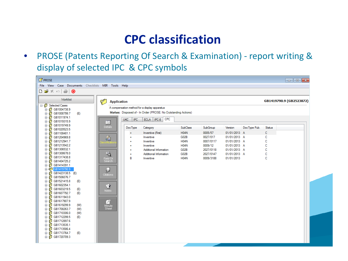# **CPC classification**

• PROSE (Patents Reporting Of Search & Examination) - report writing & display of selected IPC & CPC symbols

| <b>PROSE</b>                                          |                           |                                                                |                 |           |              |              | $\Box$ ek               |
|-------------------------------------------------------|---------------------------|----------------------------------------------------------------|-----------------|-----------|--------------|--------------|-------------------------|
| File View<br>Case Documents Checklists MIR Tools Help |                           |                                                                |                 |           |              |              |                         |
| DG⊀∞ @ ⊙                                              |                           |                                                                |                 |           |              |              |                         |
| Worklist                                              | Ø<br><b>Application</b>   |                                                                |                 |           |              |              | GB1419790.9 (GB2523872) |
| <b>E</b> Selected Cases                               |                           | A compensation method for a display apparatus                  |                 |           |              |              |                         |
| GB1004738.9<br>Ė<br>GB1008799.7<br>Ė<br>(E)           |                           | Status: Disposed of - In Order (PROSE: No Outstanding Actions) |                 |           |              |              |                         |
| Ė                                                     |                           |                                                                |                 |           |              |              |                         |
| GB1019315.9<br>Ė                                      | UKC   IPC<br>旧            | ECLA   IPC-8 CPC                                               |                 |           |              |              |                         |
| · <sup>6</sup> GB1019749.9<br>Ė                       | Details<br><b>DocType</b> | Category                                                       | <b>SubClass</b> | SubGroup  | Version      | DocType Pub. | Status                  |
| 4<br>GB1020523.5<br>Ė<br><b>◎ GB1108481.1</b>         | ÷                         | Inventive (First)                                              | <b>H04N</b>     | 0005/57   | 01/01/2013 A |              | с                       |
| Ė<br>GB1204969.8<br>Ė                                 | ÷                         | Inventive                                                      | G02B            | 0027/017  | 01/01/2013 A |              | с                       |
| · <sup>6</sup> GB1212941.7<br>Ė                       | 霜<br>$\ddot{}$            | Inventive                                                      | <b>H04N</b>     | 0007/0117 | 01/01/2013 A |              | C                       |
| GB1213542.2<br>Ė                                      | $\ddot{}$                 | Inventive                                                      | <b>H04N</b>     | 0009/12   | 01/01/2013 A |              | C                       |
| GB1306532.1<br>Ė                                      | $\ddot{}$                 | Additional Information                                         | G02B            | 2027/0118 | 01/01/2013 A |              | c                       |
| GB1308678.0<br>Ė                                      | 喝<br>$\ddot{}$            | Additional Information                                         | G02B            | 2027/0147 | 01/01/2013 A |              | C                       |
| GB1317438.8<br>宙                                      | в<br>Field Of             | Inventive                                                      | <b>H04N</b>     | 0009/3188 | 01/01/2013   |              | С                       |
| GB1404725.2<br>Ė                                      | Search                    |                                                                |                 |           |              |              |                         |
| GB1414391.1<br>O<br>Ė<br>田 3 GB1419790.9              |                           |                                                                |                 |           |              |              |                         |
| GB1423138.5 (E)<br>-61<br>Ė                           | ♬                         |                                                                |                 |           |              |              |                         |
| GB1506076.7<br>Ė                                      | Citations                 |                                                                |                 |           |              |              |                         |
| ß<br>GB1521415.8<br>(E)<br>宙                          |                           |                                                                |                 |           |              |              |                         |
| GB1602354.1<br>Ė                                      | Û                         |                                                                |                 |           |              |              |                         |
| -© GB1603219.5<br>(E)<br>由                            | Notes                     |                                                                |                 |           |              |              |                         |
| GB1607792.7<br>Ė<br>(E)                               |                           |                                                                |                 |           |              |              |                         |
| ø<br>GB1611943.0<br>由                                 |                           |                                                                |                 |           |              |              |                         |
| GB1617907.9<br>Ė<br>-© GB1619299.9<br>(W)             | ø                         |                                                                |                 |           |              |              |                         |
| Ė<br>GB1708263.7<br>由<br>(W)                          | Minute<br>Sheet           |                                                                |                 |           |              |              |                         |
| GB1710306.0<br>(W)<br>Ė                               |                           |                                                                |                 |           |              |              |                         |
| GB1712299.5<br>Ė<br>(E)                               |                           |                                                                |                 |           |              |              |                         |
| GB1712897.6<br>Ė                                      |                           |                                                                |                 |           |              |              |                         |
| GB1713535.1<br>Ė                                      |                           |                                                                |                 |           |              |              |                         |
| - © GB1713586.4<br>由                                  |                           |                                                                |                 |           |              |              |                         |
| GB1713764.7<br>由<br>(E)                               |                           |                                                                |                 |           |              |              |                         |
| GB1720709.3<br>由的                                     |                           |                                                                |                 |           |              |              |                         |
|                                                       |                           |                                                                |                 |           |              |              |                         |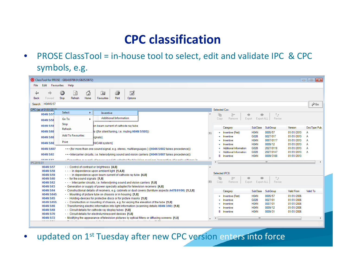# **CPC classification**

• PROSE ClassTool = in-house tool to select, edit and validate IPC & CPC symbols, e.g.

|                                   | ClassTool for PROSE - GB1419790.9 (GB2523872)                                                                                                                |                          |                      |                                                  |                            |                      |                          | $\begin{array}{c c c c c c} \hline \multicolumn{3}{c }{\mathbf{C}} & \multicolumn{3}{c }{\mathbf{S}} & \multicolumn{3}{c }{\mathbf{S}} & \multicolumn{3}{c }{\mathbf{S}} & \multicolumn{3}{c }{\mathbf{S}} & \multicolumn{3}{c }{\mathbf{S}} & \multicolumn{3}{c }{\mathbf{S}} & \multicolumn{3}{c }{\mathbf{S}} & \multicolumn{3}{c }{\mathbf{S}} & \multicolumn{3}{c }{\mathbf{S}} & \multicolumn{3}{c }{\mathbf{S}} & \multicolumn{3}{c }{\mathbf$ |  |
|-----------------------------------|--------------------------------------------------------------------------------------------------------------------------------------------------------------|--------------------------|----------------------|--------------------------------------------------|----------------------------|----------------------|--------------------------|-------------------------------------------------------------------------------------------------------------------------------------------------------------------------------------------------------------------------------------------------------------------------------------------------------------------------------------------------------------------------------------------------------------------------------------------------------|--|
| Edit<br>File                      | Favourites Help                                                                                                                                              |                          |                      |                                                  |                            |                      |                          |                                                                                                                                                                                                                                                                                                                                                                                                                                                       |  |
| ⇔<br>нb<br><b>Back</b><br>Forward | 6<br>$\mathbb{R}$<br>4<br>Ø<br>$\left  \psi \right\rangle$<br>$\left( \mathbf{x}\right)$<br>Home<br>Print<br><b>Stop</b><br>Refresh<br>Favourites<br>Options |                          |                      |                                                  |                            |                      |                          |                                                                                                                                                                                                                                                                                                                                                                                                                                                       |  |
| H04N5/57<br><b>Search</b>         |                                                                                                                                                              |                          |                      |                                                  |                            |                      |                          | $\partial$ Go.                                                                                                                                                                                                                                                                                                                                                                                                                                        |  |
| CPC (as of 01/01/2010)            |                                                                                                                                                              |                          |                      | Selected Cpc:                                    |                            |                      |                          |                                                                                                                                                                                                                                                                                                                                                                                                                                                       |  |
| H04N 5/57                         | Select<br>٠<br>Inventive                                                                                                                                     |                          | 全                    | $\mathbb{F}^*$<br>alb                            |                            | $2+$                 |                          |                                                                                                                                                                                                                                                                                                                                                                                                                                                       |  |
| H04N 5/58                         | <b>Additional Information</b><br>Go To<br>$\ddot{\phantom{1}}$                                                                                               |                          |                      | Remove<br>Copy                                   | Export ALL<br>Export       | Revise               |                          |                                                                                                                                                                                                                                                                                                                                                                                                                                                       |  |
| H04N 5/59                         | Stop<br>on beam current of cathode ray tube                                                                                                                  |                          |                      |                                                  |                            |                      |                          |                                                                                                                                                                                                                                                                                                                                                                                                                                                       |  |
|                                   | Refresh                                                                                                                                                      |                          |                      | Category                                         | <b>SubClass</b>            | SubGroup             | Version                  | Doc Type Pub                                                                                                                                                                                                                                                                                                                                                                                                                                          |  |
| H04N 5/60                         | Is ({for silent tuning, i.e. muting H04N 5/505})<br><b>Add To Favourites</b>                                                                                 |                          |                      | <b>Inventive (First)</b>                         | <b>H04N</b>                | 0005/57              | 01/01/2013               | А                                                                                                                                                                                                                                                                                                                                                                                                                                                     |  |
| H04N 5/60                         | lignals}                                                                                                                                                     |                          |                      | Inventive                                        | G02B                       | 0027/017             | 01/01/2013               | А                                                                                                                                                                                                                                                                                                                                                                                                                                                     |  |
| H04N 5/60                         | Print<br>NICAM system}                                                                                                                                       |                          |                      | Inventive                                        | <b>H04N</b>                | 0007/0117            | 01/01/2013               | А                                                                                                                                                                                                                                                                                                                                                                                                                                                     |  |
|                                   |                                                                                                                                                              |                          |                      | Inventive                                        | <b>H04N</b><br><b>G02B</b> | 0009/12<br>2027/0118 | 01/01/2013<br>01/01/2013 | A                                                                                                                                                                                                                                                                                                                                                                                                                                                     |  |
| H04N 5/607                        | (for more than one sound signal, e.g. stereo, multilanguages } ({H04N 5/602 takes precedence})                                                               |                          |                      | Additional Information<br>Additional Information | <b>G02B</b>                | 2027/0147            | 01/01/2013               | А<br>A                                                                                                                                                                                                                                                                                                                                                                                                                                                |  |
| H04N 5/62                         | Intercarrier circuits, i.e. heterodyning sound and vision carriers ({H04N 5/607 takes precedence})                                                           |                          | B                    | Inventive                                        | <b>H04N</b>                | 0009/3188            | 01/01/2013               |                                                                                                                                                                                                                                                                                                                                                                                                                                                       |  |
| <b>HOAM EIC2</b>                  | . Conoration or aunplu of nouver anogially adapted for toloxiaion regainers (generation of aunpluveltages in                                                 |                          |                      |                                                  |                            |                      |                          |                                                                                                                                                                                                                                                                                                                                                                                                                                                       |  |
| IPC2018.01                        |                                                                                                                                                              |                          | $\overline{a}$       |                                                  |                            | m.                   |                          |                                                                                                                                                                                                                                                                                                                                                                                                                                                       |  |
| <b>H04N 5/57</b>                  | . Control of contrast or brightness [4,8]                                                                                                                    |                          |                      |                                                  |                            |                      |                          |                                                                                                                                                                                                                                                                                                                                                                                                                                                       |  |
| H04N 5/58                         | $\cdots$ in dependence upon ambient light [1,4,8]                                                                                                            |                          |                      | Selected IPC8:                                   |                            |                      |                          |                                                                                                                                                                                                                                                                                                                                                                                                                                                       |  |
| <b>H04N 5/59</b>                  | in dependence upon beam current of cathode ray tube [4,8]                                                                                                    |                          |                      | ÷                                                |                            | $\hat{r}$            |                          |                                                                                                                                                                                                                                                                                                                                                                                                                                                       |  |
| H04N 5/60<br>H04N 5/62            | $\cdots$ for the sound signals [1,8]                                                                                                                         | €                        | 全<br>Copy            | ₽<br>Remove                                      | Export ALL<br>Export       | Revise               |                          |                                                                                                                                                                                                                                                                                                                                                                                                                                                       |  |
| H04N 5/63                         | Intercarrier circuits, i.e. heterodyning sound and vision carriers [1,8]<br>- Generation or supply of power specially adapted for television receivers [4,8] |                          |                      |                                                  |                            |                      |                          |                                                                                                                                                                                                                                                                                                                                                                                                                                                       |  |
| H04N 5/64                         | Constructional details of receivers, e.g. cabinets or dust covers (furniture aspects A47B 81/06) [1,2,8]                                                     |                          |                      |                                                  |                            |                      |                          | Valid To                                                                                                                                                                                                                                                                                                                                                                                                                                              |  |
| H04N 5/645                        | Mounting of picture tube on chassis or in housing [1,8]                                                                                                      |                          |                      | Category                                         | <b>SubClass</b>            | SubGroup             | <b>Valid From</b>        |                                                                                                                                                                                                                                                                                                                                                                                                                                                       |  |
| H04N 5/65                         | Holding-devices for protective discs or for picture masks [1,8]                                                                                              |                          | ÷                    | <b>Inventive (First)</b>                         | <b>H04N</b>                | 0005/57              | 01/01/2006               |                                                                                                                                                                                                                                                                                                                                                                                                                                                       |  |
| H04N 5/655                        | . Construction or mounting of chassis, e.g. for varying the elevation of the tube [1,8]                                                                      |                          |                      | Inventive                                        | G02B                       | 0027/01              | 01/01/2006               |                                                                                                                                                                                                                                                                                                                                                                                                                                                       |  |
| H04N 5/66                         | Transforming electric information into light information (scanning details H04N 3/00) [1,8]                                                                  |                          |                      | Inventive                                        | <b>H04N</b>                | 0007/01<br>0009/12   | 01/01/2006<br>01/01/2006 |                                                                                                                                                                                                                                                                                                                                                                                                                                                       |  |
| <b>H04N 5/68</b>                  | . Circuit details for cathode-ray display tubes [1,8]                                                                                                        |                          | R                    | Inventive<br>Inventive                           | <b>H04N</b><br><b>H04N</b> | 0009/31              | 01/01/2006               |                                                                                                                                                                                                                                                                                                                                                                                                                                                       |  |
| H04N 5/70                         | . Circuit details for electroluminescent devices [1,8]                                                                                                       |                          |                      |                                                  |                            |                      |                          |                                                                                                                                                                                                                                                                                                                                                                                                                                                       |  |
| H04N 5/72                         | . Modifying the appearance of television pictures by optical filters or diffusing screens [1,8]                                                              | $\overline{\phantom{a}}$ | $\blacktriangleleft$ |                                                  | m.                         |                      |                          |                                                                                                                                                                                                                                                                                                                                                                                                                                                       |  |

updated on 1<sup>st</sup> Tuesday after new CPC version enters into force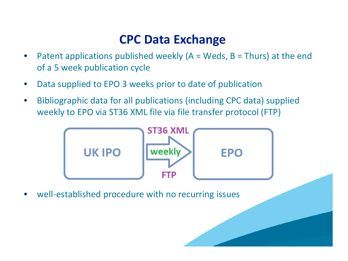## **CPC Data Exchange**

- Patent applications published weekly ( $A = Weds$ ,  $B = Thurs$ ) at the end of a 5 week publication cycle
- Data supplied to EPO 3 weeks prior to date of publication
- Bibliographic data for all publications (including CPC data) supplied weekly to EPO via ST36 XML file via file transfer protocol (FTP)

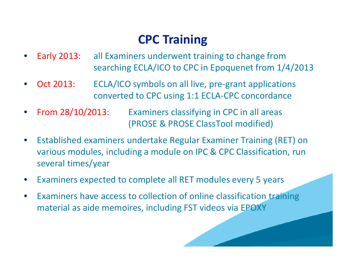# **CPC Training**

- Early 2013: all Examiners underwent training to change from searching ECLA/ICO to CPC in Epoquenet from 1/4/2013
- Oct 2013: ECLA/ICO symbols on all live, pre-grant applications converted to CPC using 1:1 ECLA-CPC concordance
- From 28/10/2013: Examiners classifying in CPC in all areas (PROSE & PROSE ClassTool modified)
- Established examiners undertake Regular Examiner Training (RET) on various modules, including a module on IPC & CPC Classification, run several times/year
- Examiners expected to complete all RET modules every 5 years
- Examiners have access to collection of online classification training material as aide memoires, including FST videos via EPOXY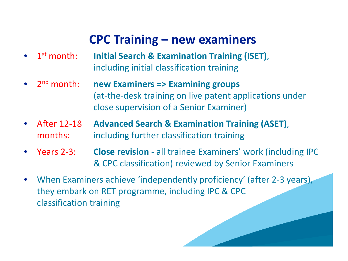## **CPC Training – new examiners**

- 1st month: **Initial Search & Examination Training (ISET)**, including initial classification training
- 2nd month: **new Examiners => Examining groups** (at-the-desk training on live patent applications under close supervision of a Senior Examiner)
- After 12-18 **Advanced Search & Examination Training (ASET)**, months: including further classification training
- Years 2-3: **Close revision**  all trainee Examiners' work (including IPC & CPC classification) reviewed by Senior Examiners
- When Examiners achieve 'independently proficiency' (after 2-3 years), they embark on RET programme, including IPC & CPC classification training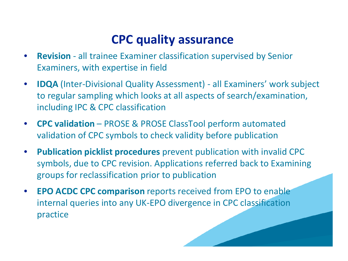# **CPC quality assurance**

- **Revision** all trainee Examiner classification supervised by Senior Examiners, with expertise in field
- **IDQA** (Inter-Divisional Quality Assessment) all Examiners' work subject to regular sampling which looks at all aspects of search/examination, including IPC & CPC classification
- **CPC validation**  PROSE & PROSE ClassTool perform automated validation of CPC symbols to check validity before publication
- **Publication picklist procedures** prevent publication with invalid CPC symbols, due to CPC revision. Applications referred back to Examining groups for reclassification prior to publication
- **EPO ACDC CPC comparison** reports received from EPO to enable internal queries into any UK-EPO divergence in CPC classification practice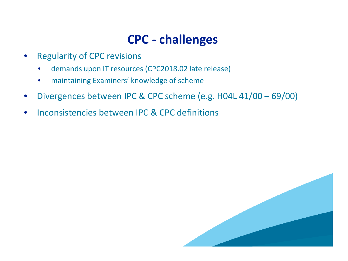# **CPC - challenges**

- Regularity of CPC revisions
	- demands upon IT resources (CPC2018.02 late release)
	- maintaining Examiners' knowledge of scheme
- Divergences between IPC & CPC scheme (e.g. H04L 41/00 69/00)
- Inconsistencies between IPC & CPC definitions